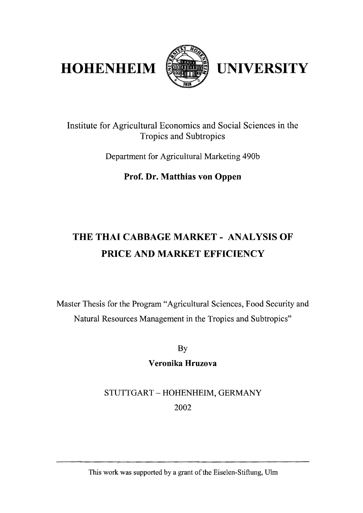





## Institute for Agricultural Economics and Social Sciences in the Tropics and Subtropics

Department for Agricultural Marketing 490b

**Prof. Dr. Matthias von Oppen** 

# **THE THAI CABBAGE MARKET - ANALYSIS OF PRICE AND MARKET EFFICIENCY**

Master Thesis for the Program "Agricultural Sciences, Food Security and Natural Resources Management in the Tropics and Subtropics"

**By** 

### **Veronika Hruzova**

## STUTTGART - HOHENHEIM, GERMANY 2002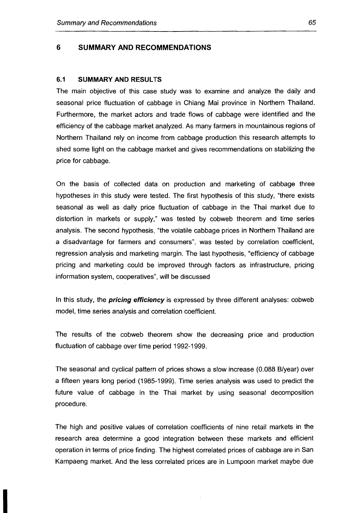#### **6 SUMMARY AND RECOMMENDATIONS**

#### **6.1 SUMMARY AND RESULTS**

The main objective of this case study was to examine and analyze the daily and seasonal price fluctuation of cabbage in Chiang Mai province in Northern Thailand. Furthermore, the market actors and trade flows of cabbage were identified and the efficiency of the cabbage market analyzed. As many farmers in mountainous regions of Northern Thailand rely on income from cabbage production this research attempts to shed some light on the cabbage market and gives recommendations on stabilizing the price for cabbage.

On the basis of collected data on production and marketing of cabbage three hypotheses in this study were tested. The first hypothesis of this study, "there exists seasonal as weil as daily price fluctuation of cabbage in the Thai market due to distortion in markets or supply," was tested by cobweb theorem and time series analysis. The second hypothesis, "the volatile cabbage prices in Northern Thailand are a disadvantage for farmers and consumers", was tested by correlation coefficient, regression analysis and marketing margin. The last hypothesis, "efficiency of cabbage pricing and marketing could be improved through factors as infrastructure, pricing information system, cooperatives", will be discussed

In this study, the **pricing efficiency** is expressed by three different analyses: cobweb model, time series analysis and correlation coefficient.

The results of the cobweb theorem show the decreasing price and production fluctuation of cabbage over time period 1992-1999.

The seasonal and cyclical pattern of prices shows a slow increase (0.088 B/year) over a fifteen years long period (1985-1999). Time series analysis was used to predict the future value of cabbage in the Thai market by using seasonal decomposition procedure.

The high and positive values of correlation coefficients of nine retail markets in the research area determine a good integration between these markets and efficient operation in terms of price finding. The highest correlated prices of cabbage are in San Kampaeng market. And the less correlated prices are in Lumpoon market maybe due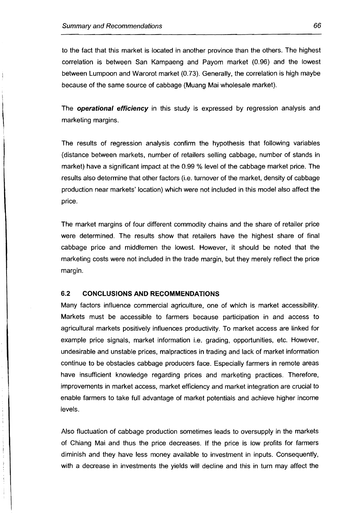to the fact that this market is located in another province than the others. The highest correlation is between San Kampaeng and Payom market (0.96) and the lowest between Lumpoon and Warorot market (0.73). Generally, the correlation is high maybe because of the same source of cabbage (Muang Mai wholesale market).

The **operational efficiency** in this study is expressed by regression analysis and marketing margins.

The results of regression analysis confirm the hypothesis that following variables (distance between markets. number of retailers selling cabbage. number of stands in market) have a significant impact at the 0.99 % level of the cabbage market price. The results also determine that other factors (i.e. turnover of the market. density of cabbage production near markets' location) which were not included in this model also affect the price.

The market margins of four different commodity chains and the share of retailer price were determined. The results show that retailers have the highest share of final cabbage price and middlemen the lowest. However, it should be noted that the marketing costs were not included in the trade margin, but they merely reflect the price margin.

#### 6.2 CONCLUSIONS AND RECOMMENDATIONS

Many factors influence commercial agriculture, one of which is market accessibility. Markets must be accessible to farmers because participation in and access to agricultural markets positively influences productivity. To market access are linked for example price signals, market information i.e. grading, opportunities, etc. However, undesirable and unstable prices, malpractices in trading and lack of market information continue to be obstacles cabbage producers face. Especially farmers in remote areas have insufficient knowledge regarding prices and marketing practices. Therefore, improvements in market access, market efficiency and market integration are crucial to enable farmers to take full advantage of market potentials and achieve higher income levels.

Also fluctuation of cabbage production sometimes leads to oversupply in the markets of Chiang Mai and thus the price decreases. If the price is low profits for farmers diminish and they have less money available to investment in inputs. Consequently, with a decrease in investments the yields will decline and this in turn may affect the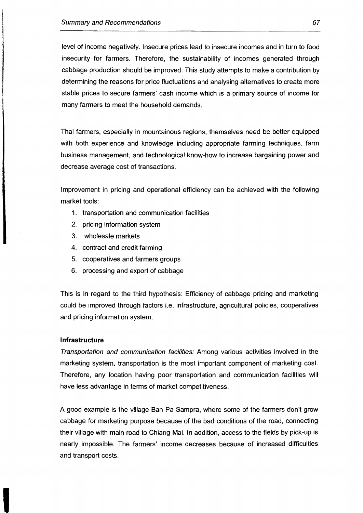level of income negatively. Insecure prices lead to insecure incomes and in turn to food insecurity for farmers. Therefore, the sustainability of incomes generated through cabbage production should be improved. This study attempts to make a contribution by determining the reasons for price fluctuations and analysing alternatives to create more stable prices to secure farmers' cash income which is a primary source of income for many farmers to meet the household demands.

Thai farmers, especially in mountainous regions, themselves need be better equipped with both experience and knowledge including appropriate farming techniques, farm business management, and technological know-how to increase bargaining power and decrease average cost of transactions.

Improvement in pricing and operational efficiency can be achieved with the following market tools:

- 1. transportation and communication facilities
- 2. pricing information system
- 3. wholesale markets
- 4. contract and credit farming
- 5. cooperatives and farmers groups
- 6. processing and export of cabbage

This is in regard to the third hypothesis: Efficiency of cabbage pricing and marketing could be improved through factors i.e. infrastructure, agricultural policies, cooperatives and pricing information system.

#### **Infrastructure**

Transportation and communication facilities: Among various activities involved in the marketing system, transportation is the most important component of marketing cost. Therefore, any location having poor transportation and communication facilities will have less advantage in terms of market cornpetitiveness.

A good example is the village Ban Pa Sampra, where some of the farmers don't grow cabbage for marketing purpose because of the bad conditions of the road, connecting their village with main road to Chiang Mai. In addition, access to the fields by pick-up is nearly impossible. The farmers' income decreases because of increased difficulties and transport costs.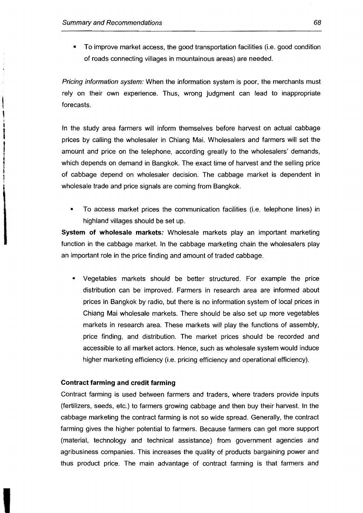To improve market access, the good transportation facilities (i.e. good condition of roads connecting villages in mountainous areas) are needed.

Pricing information system: When the information system is poor, the merchants must rely on their own experience. Thus, wrong judgment can lead to inappropriate forecasts.

In the study area farmers will inform themselves before harvest on actual cabbage prices by calling the wholesaler in Chiang Mai. Wholesalers and farmers will set the amount and price on the telephone, according greatly to the wholesalers' demands, which depends on demand in Bangkok. The exact time of harvest and the selling price of cabbage depend on wholesaler decision. The cabbage market is dependent in wholesale trade and price signals are coming from Bangkok.

To access market prices the communication facilities (i.e. telephone lines) in highland villages should be set up.

System of wholesale markets: Wholesale markets play an important marketing function in the cabbage market. In the cabbage marketing chain the wholesalers play an important role in the price finding and amount of traded cabbage.

• Vegetables markets should be better structured. For example the price distribution can be improved. Farmers in research area are informed about prices in Bangkok by radio, but there is no information system of local prices in Chiang Mai wholesale markets. There should be also set up more vegetables markets in research area. These markets will play the functions of assembly, price finding, and distribution. The market prices should be recorded and accessible to all market actors. Hence, such as wholesale system would induce higher marketing efficiency (i.e. pricing efficiency and operational efficiency).

#### Contract farming and credit farming

Contract farming is used between farmers and traders, where traders provide inputs (fertilizers, seeds, etc.) to farmers growing cabbage and then buy their harvest. In the cabbage marketing the contract farming is not so wide spread. Generally, the contract farming gives the higher potential to farmers. Because farmers can get more support (material, technology and technical assistance) from government agencies and agribusiness companies. This increases the quality of products bargaining power and thus product price. The main advantage of contract farming is that farmers and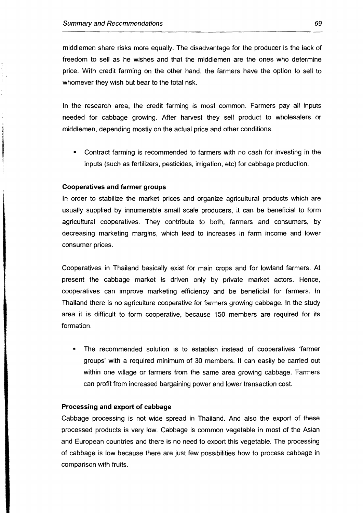middlemen share risks more equally. The disadvantage for the producer is the lack of freedom to seil as he wishes and that the middlemen are the ones who determine price. With credit farming on the other hand, the farmers have the option to seil to whomever they wish but bear to the total risk.

In the research area, the credit farming is most common. Farmers pay all inputs needed for cabbage growing. After harvest they seil product to wholesalers or middlemen, depending mostly on the actual price and other conditions.

• Contract farming is recommended to farmers with no cash for investing in the inputs (such as fertilizers, pesticides, irrigation, etc) for cabbage production.

#### **Cooperatives and farmer groups**

In order to stabilize the market prices and organize agricultural products which are usually supplied by innumerable small scale producers, it can be beneficial to form agricultural cooperatives. They contribute to both, farmers and consumers, by decreasing marketing margins, which lead to increases in farm income and lower consumer prices.

Cooperatives in Thailand basically exist for main crops and for lowland farmers. At present the cabbage market is driven only by private market actors. Hence, cooperatives can improve marketing efficiency and be beneficial for farmers. In Thailand there is no agriculture cooperative for farmers growing cabbage. In the study area it is difficult to form cooperative, because 150 members are required for its formation.

The recommended solution is to establish instead of cooperatives 'farmer groups' with a required minimum of 30 members. It can easily be carried out within one village or farmers from the same area growing cabbage. Farmers can profit from increased bargaining power and lower transaction cost.

#### **Processing and export of cabbage**

Cabbage processing is not wide spread in Thailand. And also the export of these processed products is very low. Cabbage is common vegetable in most of the Asian and European countries and there is no need to export this vegetable. The processing of cabbage is low because there are just few possibilities how to process cabbage in comparison with fruits.